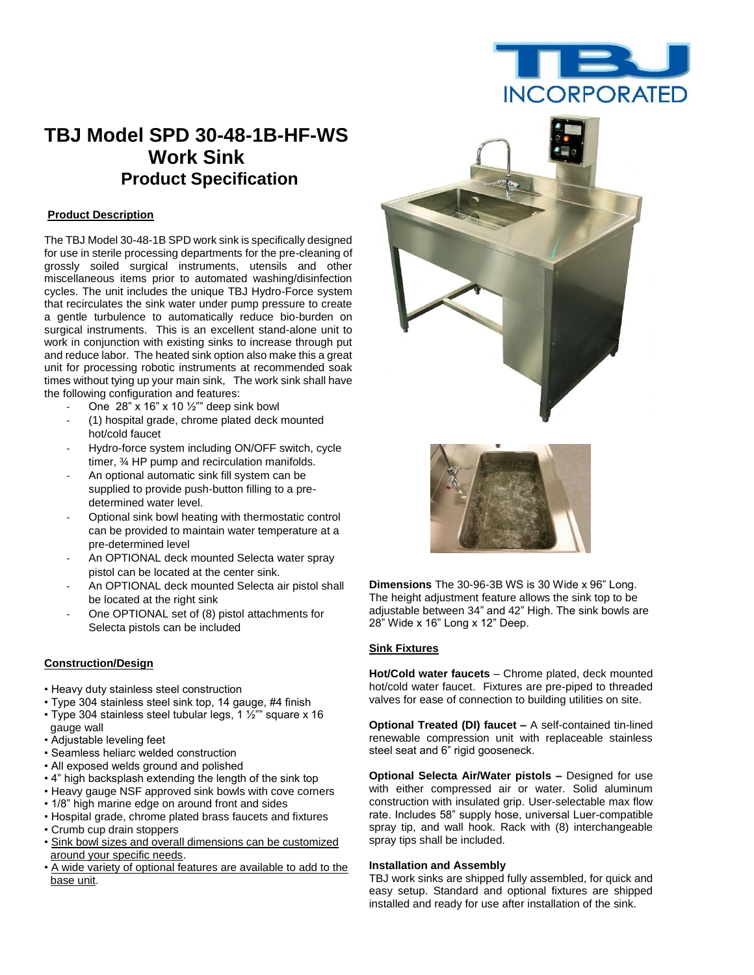

# **TBJ Model SPD 30-48-1B-HF-WS Work Sink Product Specification**

#### **Product Description**

The TBJ Model 30-48-1B SPD work sink is specifically designed for use in sterile processing departments for the pre-cleaning of grossly soiled surgical instruments, utensils and other miscellaneous items prior to automated washing/disinfection cycles. The unit includes the unique TBJ Hydro-Force system that recirculates the sink water under pump pressure to create a gentle turbulence to automatically reduce bio-burden on surgical instruments. This is an excellent stand-alone unit to work in conjunction with existing sinks to increase through put and reduce labor. The heated sink option also make this a great unit for processing robotic instruments at recommended soak times without tying up your main sink, The work sink shall have the following configuration and features:

- One  $28$ " x 16" x 10  $\frac{1}{2}$ "" deep sink bowl
- (1) hospital grade, chrome plated deck mounted hot/cold faucet
- Hydro-force system including ON/OFF switch, cycle timer, ¾ HP pump and recirculation manifolds.
- An optional automatic sink fill system can be supplied to provide push-button filling to a predetermined water level.
- Optional sink bowl heating with thermostatic control can be provided to maintain water temperature at a pre-determined level
- An OPTIONAL deck mounted Selecta water spray pistol can be located at the center sink.
- An OPTIONAL deck mounted Selecta air pistol shall be located at the right sink
- One OPTIONAL set of (8) pistol attachments for Selecta pistols can be included

### **Construction/Design**

- Heavy duty stainless steel construction
- Type 304 stainless steel sink top, 14 gauge, #4 finish
- Type 304 stainless steel tubular legs, 1  $\frac{1}{2}$ " square x 16 gauge wall
- Adjustable leveling feet
- Seamless heliarc welded construction
- All exposed welds ground and polished
- 4" high backsplash extending the length of the sink top
- Heavy gauge NSF approved sink bowls with cove corners
- 1/8" high marine edge on around front and sides
- Hospital grade, chrome plated brass faucets and fixtures
- Crumb cup drain stoppers
- Sink bowl sizes and overall dimensions can be customized around your specific needs.
- A wide variety of optional features are available to add to the base unit.





**Dimensions** The 30-96-3B WS is 30 Wide x 96" Long. The height adjustment feature allows the sink top to be adjustable between 34" and 42" High. The sink bowls are 28" Wide x 16" Long x 12" Deep.

### **Sink Fixtures**

**Hot/Cold water faucets** – Chrome plated, deck mounted hot/cold water faucet. Fixtures are pre-piped to threaded valves for ease of connection to building utilities on site.

**Optional Treated (DI) faucet –** A self-contained tin-lined renewable compression unit with replaceable stainless steel seat and 6" rigid gooseneck.

**Optional Selecta Air/Water pistols –** Designed for use with either compressed air or water. Solid aluminum construction with insulated grip. User-selectable max flow rate. Includes 58" supply hose, universal Luer-compatible spray tip, and wall hook. Rack with (8) interchangeable spray tips shall be included.

#### **Installation and Assembly**

TBJ work sinks are shipped fully assembled, for quick and easy setup. Standard and optional fixtures are shipped installed and ready for use after installation of the sink.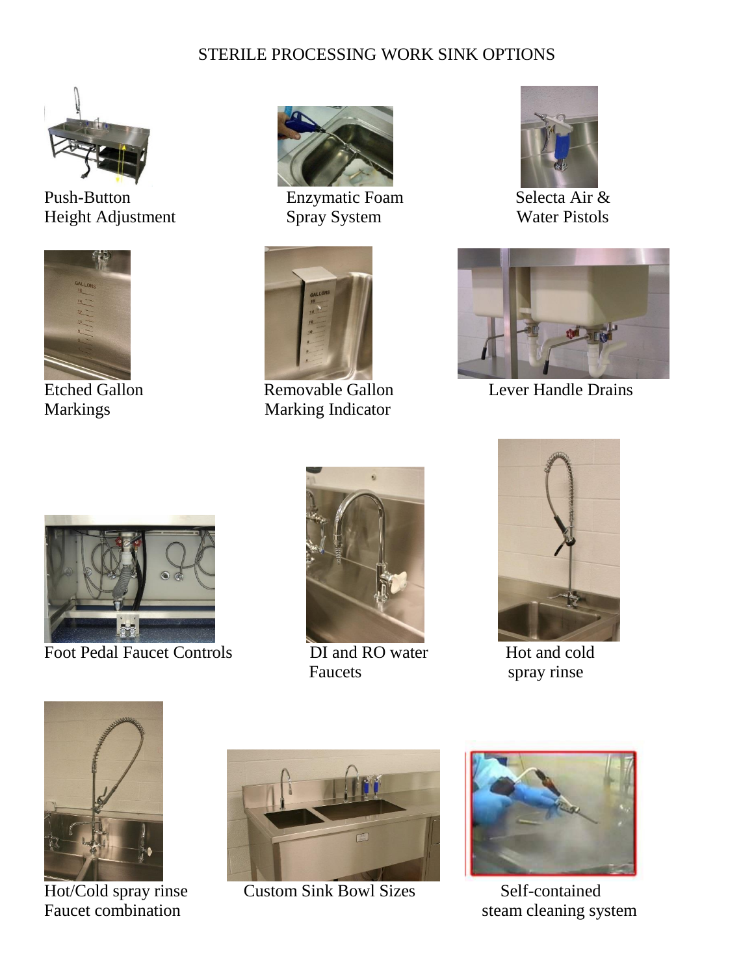## STERILE PROCESSING WORK SINK OPTIONS



Push-Button Enzymatic Foam Selecta Air & Height Adjustment Spray System Water Pistols



**Etched Gallon** 





Markings Marking Indicator





Removable Gallon Lever Handle Drains



Foot Pedal Faucet Controls DI and RO water Hot and cold



Faucets spray rinse





Hot/Cold spray rinse



**Custom Sink Bowl Sizes Self-contained** 



Faucet combination steam cleaning system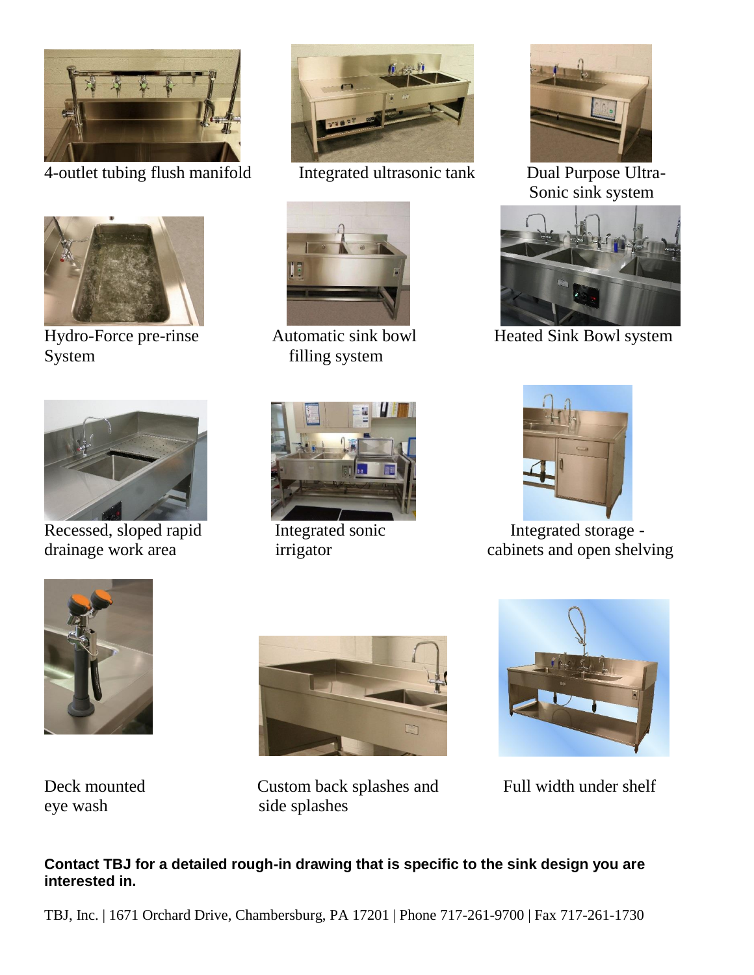

4-outlet tubing flush manifold Integrated ultrasonic tank Dual Purpose Ultra-



System filling system











Sonic sink system



Hydro-Force pre-rinse Automatic sink bowl Heated Sink Bowl system



Recessed, sloped rapid Integrated sonic Integrated storage drainage work area irrigator in the cabinets and open shelving



eye wash side splashes



Deck mounted Custom back splashes and Full width under shelf



## **Contact TBJ for a detailed rough-in drawing that is specific to the sink design you are interested in.**

TBJ, Inc. | 1671 Orchard Drive, Chambersburg, PA 17201 | Phone 717-261-9700 | Fax 717-261-1730